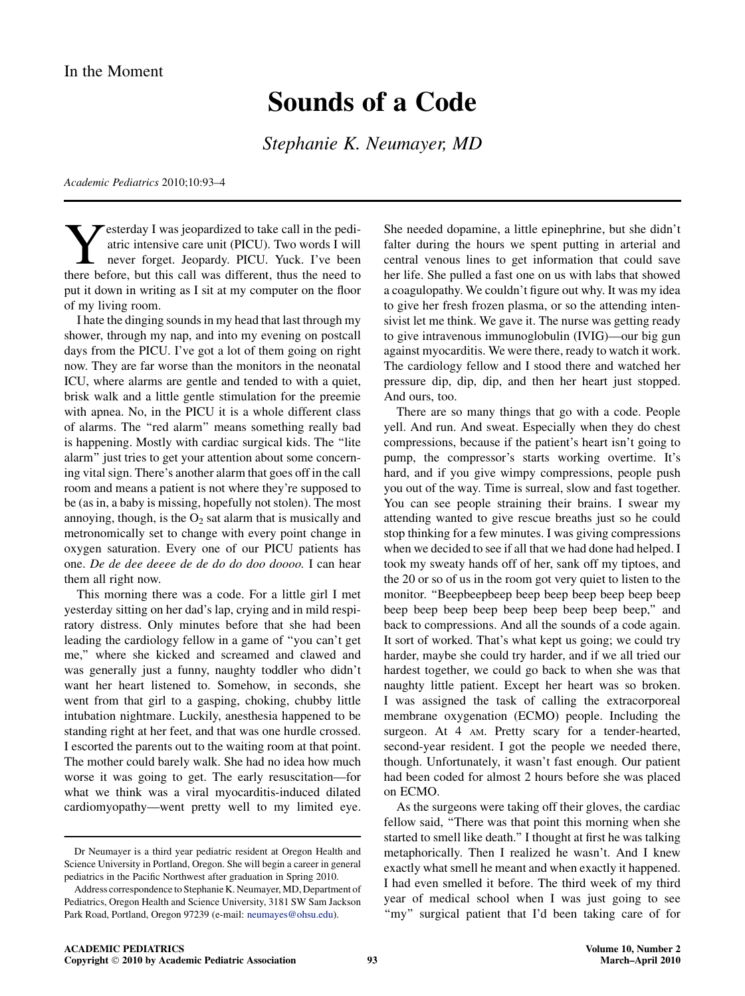## Sounds of a Code

Stephanie K. Neumayer, MD

Academic Pediatrics 2010;10:93–4

Yesterday I was jeopardized to take call in the pediatric intensive care unit (PICU). Two words I will never forget. Jeopardy. PICU. Yuck. I've been there before, but this call was different, thus the need to put it down in writing as I sit at my computer on the floor of my living room.

I hate the dinging sounds in my head that last through my shower, through my nap, and into my evening on postcall days from the PICU. I've got a lot of them going on right now. They are far worse than the monitors in the neonatal ICU, where alarms are gentle and tended to with a quiet, brisk walk and a little gentle stimulation for the preemie with apnea. No, in the PICU it is a whole different class of alarms. The ''red alarm'' means something really bad is happening. Mostly with cardiac surgical kids. The ''lite alarm'' just tries to get your attention about some concerning vital sign. There's another alarm that goes off in the call room and means a patient is not where they're supposed to be (as in, a baby is missing, hopefully not stolen). The most annoying, though, is the  $O<sub>2</sub>$  sat alarm that is musically and metronomically set to change with every point change in oxygen saturation. Every one of our PICU patients has one. De de dee deeee de de do do doo doooo. I can hear them all right now.

This morning there was a code. For a little girl I met yesterday sitting on her dad's lap, crying and in mild respiratory distress. Only minutes before that she had been leading the cardiology fellow in a game of ''you can't get me,'' where she kicked and screamed and clawed and was generally just a funny, naughty toddler who didn't want her heart listened to. Somehow, in seconds, she went from that girl to a gasping, choking, chubby little intubation nightmare. Luckily, anesthesia happened to be standing right at her feet, and that was one hurdle crossed. I escorted the parents out to the waiting room at that point. The mother could barely walk. She had no idea how much worse it was going to get. The early resuscitation—for what we think was a viral myocarditis-induced dilated cardiomyopathy—went pretty well to my limited eye.

She needed dopamine, a little epinephrine, but she didn't falter during the hours we spent putting in arterial and central venous lines to get information that could save her life. She pulled a fast one on us with labs that showed a coagulopathy. We couldn't figure out why. It was my idea to give her fresh frozen plasma, or so the attending intensivist let me think. We gave it. The nurse was getting ready to give intravenous immunoglobulin (IVIG)—our big gun against myocarditis. We were there, ready to watch it work. The cardiology fellow and I stood there and watched her pressure dip, dip, dip, and then her heart just stopped. And ours, too.

There are so many things that go with a code. People yell. And run. And sweat. Especially when they do chest compressions, because if the patient's heart isn't going to pump, the compressor's starts working overtime. It's hard, and if you give wimpy compressions, people push you out of the way. Time is surreal, slow and fast together. You can see people straining their brains. I swear my attending wanted to give rescue breaths just so he could stop thinking for a few minutes. I was giving compressions when we decided to see if all that we had done had helped. I took my sweaty hands off of her, sank off my tiptoes, and the 20 or so of us in the room got very quiet to listen to the monitor. ''Beepbeepbeep beep beep beep beep beep beep beep beep beep beep beep beep beep beep beep,'' and back to compressions. And all the sounds of a code again. It sort of worked. That's what kept us going; we could try harder, maybe she could try harder, and if we all tried our hardest together, we could go back to when she was that naughty little patient. Except her heart was so broken. I was assigned the task of calling the extracorporeal membrane oxygenation (ECMO) people. Including the surgeon. At 4 AM. Pretty scary for a tender-hearted, second-year resident. I got the people we needed there, though. Unfortunately, it wasn't fast enough. Our patient had been coded for almost 2 hours before she was placed on ECMO.

As the surgeons were taking off their gloves, the cardiac fellow said, "There was that point this morning when she started to smell like death.'' I thought at first he was talking metaphorically. Then I realized he wasn't. And I knew exactly what smell he meant and when exactly it happened. I had even smelled it before. The third week of my third year of medical school when I was just going to see "my" surgical patient that I'd been taking care of for

Dr Neumayer is a third year pediatric resident at Oregon Health and Science University in Portland, Oregon. She will begin a career in general pediatrics in the Pacific Northwest after graduation in Spring 2010.

Address correspondence to Stephanie K. Neumayer, MD, Department of Pediatrics, Oregon Health and Science University, 3181 SW Sam Jackson Park Road, Portland, Oregon 97239 (e-mail: [neumayes@ohsu.edu\)](mailto:neumayes@ohsu.edu).